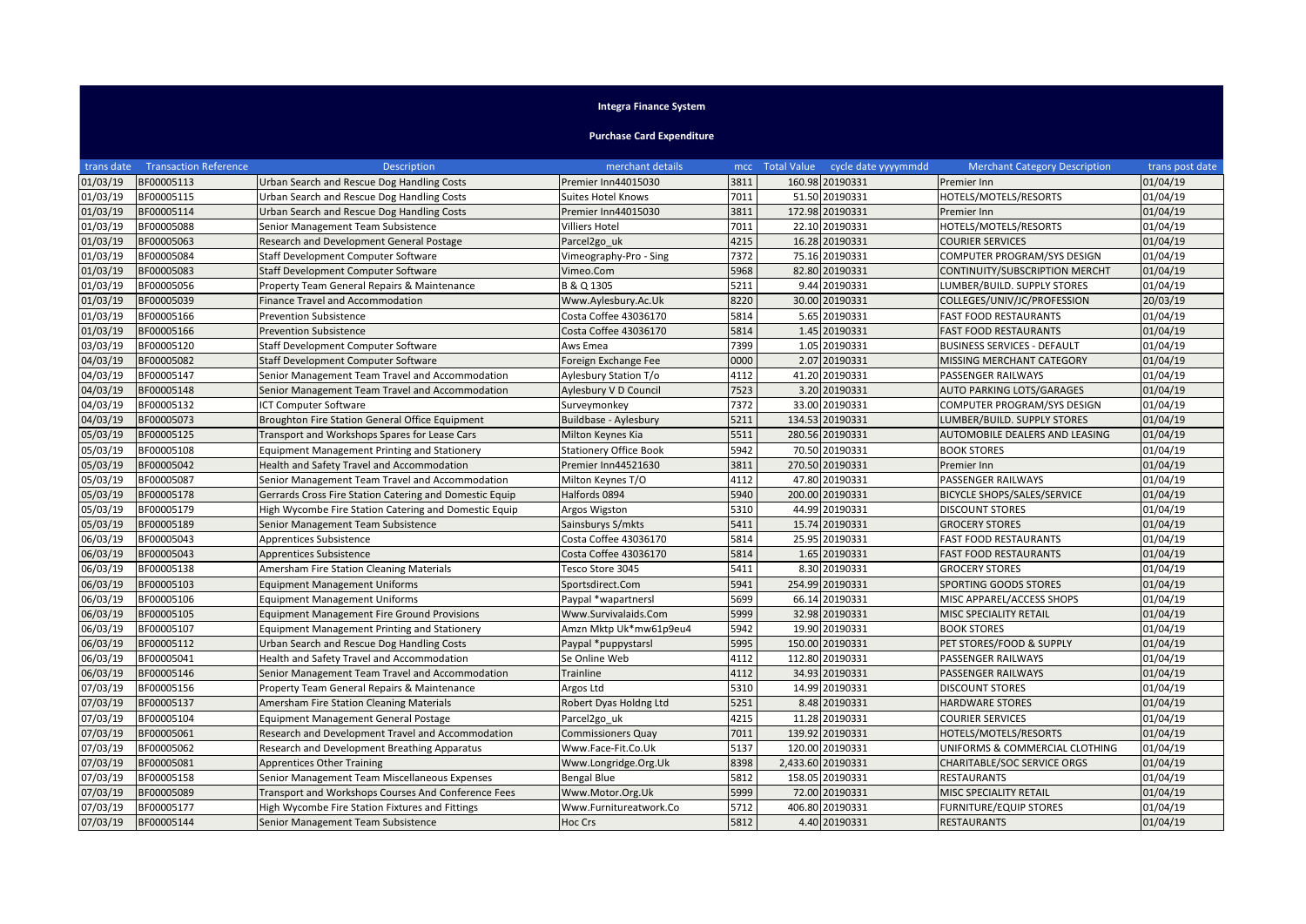## **Integra Finance System**

**Purchase Card Expenditure**

|          | trans date Transaction Reference | <b>Description</b>                                      | merchant details              |      | mcc Total Value cycle date yyyymmdd | <b>Merchant Category Description</b> | trans post date |
|----------|----------------------------------|---------------------------------------------------------|-------------------------------|------|-------------------------------------|--------------------------------------|-----------------|
| 01/03/19 | BF00005113                       | Urban Search and Rescue Dog Handling Costs              | Premier Inn44015030           | 3811 | 160.98 20190331                     | Premier Inn                          | 01/04/19        |
| 01/03/19 | BF00005115                       | Urban Search and Rescue Dog Handling Costs              | <b>Suites Hotel Knows</b>     | 7011 | 51.50 20190331                      | HOTELS/MOTELS/RESORTS                | 01/04/19        |
| 01/03/19 | BF00005114                       | Urban Search and Rescue Dog Handling Costs              | Premier Inn44015030           | 3811 | 172.98 20190331                     | Premier Inn                          | 01/04/19        |
| 01/03/19 | BF00005088                       | Senior Management Team Subsistence                      | Villiers Hotel                | 7011 | 22.10 20190331                      | HOTELS/MOTELS/RESORTS                | 01/04/19        |
| 01/03/19 | BF00005063                       | Research and Development General Postage                | Parcel2go_uk                  | 4215 | 16.28 20190331                      | <b>COURIER SERVICES</b>              | 01/04/19        |
| 01/03/19 | BF00005084                       | Staff Development Computer Software                     | Vimeography-Pro - Sing        | 7372 | 75.16 20190331                      | COMPUTER PROGRAM/SYS DESIGN          | 01/04/19        |
| 01/03/19 | BF00005083                       | <b>Staff Development Computer Software</b>              | Vimeo.Com                     | 5968 | 82.80 20190331                      | CONTINUITY/SUBSCRIPTION MERCHT       | 01/04/19        |
| 01/03/19 | BF00005056                       | Property Team General Repairs & Maintenance             | B & Q 1305                    | 5211 | 9.44 20190331                       | LUMBER/BUILD. SUPPLY STORES          | 01/04/19        |
| 01/03/19 | BF00005039                       | Finance Travel and Accommodation                        | Www.Aylesbury.Ac.Uk           | 8220 | 30.00 20190331                      | COLLEGES/UNIV/JC/PROFESSION          | 20/03/19        |
| 01/03/19 | BF00005166                       | <b>Prevention Subsistence</b>                           | Costa Coffee 43036170         | 5814 | 5.65 20190331                       | <b>FAST FOOD RESTAURANTS</b>         | 01/04/19        |
| 01/03/19 | BF00005166                       | <b>Prevention Subsistence</b>                           | Costa Coffee 43036170         | 5814 | 1.45 20190331                       | <b>FAST FOOD RESTAURANTS</b>         | 01/04/19        |
| 03/03/19 | BF00005120                       | Staff Development Computer Software                     | Aws Emea                      | 7399 | 1.05 20190331                       | <b>BUSINESS SERVICES - DEFAULT</b>   | 01/04/19        |
| 04/03/19 | BF00005082                       | Staff Development Computer Software                     | Foreign Exchange Fee          | 0000 | 2.07 20190331                       | MISSING MERCHANT CATEGORY            | 01/04/19        |
| 04/03/19 | BF00005147                       | Senior Management Team Travel and Accommodation         | Aylesbury Station T/o         | 4112 | 41.20 20190331                      | PASSENGER RAILWAYS                   | 01/04/19        |
| 04/03/19 | BF00005148                       | Senior Management Team Travel and Accommodation         | Aylesbury V D Council         | 7523 | 3.20 20190331                       | <b>AUTO PARKING LOTS/GARAGES</b>     | 01/04/19        |
| 04/03/19 | BF00005132                       | ICT Computer Software                                   | Surveymonkey                  | 7372 | 33.00 20190331                      | COMPUTER PROGRAM/SYS DESIGN          | 01/04/19        |
| 04/03/19 | BF00005073                       | Broughton Fire Station General Office Equipment         | Buildbase - Aylesbury         | 5211 | 134.53 20190331                     | LUMBER/BUILD. SUPPLY STORES          | 01/04/19        |
| 05/03/19 | BF00005125                       | Transport and Workshops Spares for Lease Cars           | Milton Keynes Kia             | 5511 | 280.56 20190331                     | AUTOMOBILE DEALERS AND LEASING       | 01/04/19        |
| 05/03/19 | BF00005108                       | <b>Equipment Management Printing and Stationery</b>     | <b>Stationery Office Book</b> | 5942 | 70.50 20190331                      | <b>BOOK STORES</b>                   | 01/04/19        |
| 05/03/19 | BF00005042                       | Health and Safety Travel and Accommodation              | Premier Inn44521630           | 3811 | 270.50 20190331                     | Premier Inn                          | 01/04/19        |
| 05/03/19 | BF00005087                       | Senior Management Team Travel and Accommodation         | Milton Keynes T/O             | 4112 | 47.80 20190331                      | PASSENGER RAILWAYS                   | 01/04/19        |
| 05/03/19 | BF00005178                       | Gerrards Cross Fire Station Catering and Domestic Equip | Halfords 0894                 | 5940 | 200.00 20190331                     | BICYCLE SHOPS/SALES/SERVICE          | 01/04/19        |
| 05/03/19 | BF00005179                       | High Wycombe Fire Station Catering and Domestic Equip   | Argos Wigston                 | 5310 | 44.99 20190331                      | <b>DISCOUNT STORES</b>               | 01/04/19        |
| 05/03/19 | BF00005189                       | Senior Management Team Subsistence                      | Sainsburys S/mkts             | 5411 | 15.74 20190331                      | <b>GROCERY STORES</b>                | 01/04/19        |
| 06/03/19 | BF00005043                       | Apprentices Subsistence                                 | Costa Coffee 43036170         | 5814 | 25.95 20190331                      | <b>FAST FOOD RESTAURANTS</b>         | 01/04/19        |
| 06/03/19 | BF00005043                       | Apprentices Subsistence                                 | Costa Coffee 43036170         | 5814 | 1.65 20190331                       | <b>FAST FOOD RESTAURANTS</b>         | 01/04/19        |
| 06/03/19 | BF00005138                       | Amersham Fire Station Cleaning Materials                | Tesco Store 3045              | 5411 | 8.30 20190331                       | <b>GROCERY STORES</b>                | 01/04/19        |
| 06/03/19 | BF00005103                       | <b>Equipment Management Uniforms</b>                    | Sportsdirect.Com              | 5941 | 254.99 20190331                     | SPORTING GOODS STORES                | 01/04/19        |
| 06/03/19 | BF00005106                       | <b>Equipment Management Uniforms</b>                    | Paypal *wapartnersl           | 5699 | 66.14 20190331                      | MISC APPAREL/ACCESS SHOPS            | 01/04/19        |
| 06/03/19 | BF00005105                       | <b>Equipment Management Fire Ground Provisions</b>      | Www.Survivalaids.Com          | 5999 | 32.98 20190331                      | MISC SPECIALITY RETAIL               | 01/04/19        |
| 06/03/19 | BF00005107                       | <b>Equipment Management Printing and Stationery</b>     | Amzn Mktp Uk*mw61p9eu4        | 5942 | 19.90 20190331                      | <b>BOOK STORES</b>                   | 01/04/19        |
| 06/03/19 | BF00005112                       | Urban Search and Rescue Dog Handling Costs              | Paypal *puppystarsl           | 5995 | 150.00 20190331                     | PET STORES/FOOD & SUPPLY             | 01/04/19        |
| 06/03/19 | BF00005041                       | Health and Safety Travel and Accommodation              | Se Online Web                 | 4112 | 112.80 20190331                     | PASSENGER RAILWAYS                   | 01/04/19        |
| 06/03/19 | BF00005146                       | Senior Management Team Travel and Accommodation         | Trainline                     | 4112 | 34.93 20190331                      | PASSENGER RAILWAYS                   | 01/04/19        |
| 07/03/19 | BF00005156                       | Property Team General Repairs & Maintenance             | Argos Ltd                     | 5310 | 14.99 20190331                      | <b>DISCOUNT STORES</b>               | 01/04/19        |
| 07/03/19 | BF00005137                       | Amersham Fire Station Cleaning Materials                | Robert Dyas Holdng Ltd        | 5251 | 8.48 20190331                       | <b>HARDWARE STORES</b>               | 01/04/19        |
| 07/03/19 | BF00005104                       | <b>Equipment Management General Postage</b>             | Parcel <sub>2gouk</sub>       | 4215 | 11.28 20190331                      | <b>COURIER SERVICES</b>              | 01/04/19        |
| 07/03/19 | BF00005061                       | Research and Development Travel and Accommodation       | <b>Commissioners Quay</b>     | 7011 | 139.92 20190331                     | HOTELS/MOTELS/RESORTS                | 01/04/19        |
| 07/03/19 | BF00005062                       | Research and Development Breathing Apparatus            | Www.Face-Fit.Co.Uk            | 5137 | 120.00 20190331                     | UNIFORMS & COMMERCIAL CLOTHING       | 01/04/19        |
| 07/03/19 | BF00005081                       | <b>Apprentices Other Training</b>                       | Www.Longridge.Org.Uk          | 8398 | 2,433.60 20190331                   | CHARITABLE/SOC SERVICE ORGS          | 01/04/19        |
| 07/03/19 | BF00005158                       | Senior Management Team Miscellaneous Expenses           | Bengal Blue                   | 5812 | 158.05 20190331                     | <b>RESTAURANTS</b>                   | 01/04/19        |
| 07/03/19 | BF00005089                       | Transport and Workshops Courses And Conference Fees     | Www.Motor.Org.Uk              | 5999 | 72.00 20190331                      | MISC SPECIALITY RETAIL               | 01/04/19        |
| 07/03/19 | BF00005177                       | High Wycombe Fire Station Fixtures and Fittings         | Www.Furnitureatwork.Co        | 5712 | 406.80 20190331                     | FURNITURE/EQUIP STORES               | 01/04/19        |
| 07/03/19 | BF00005144                       | Senior Management Team Subsistence                      | <b>Hoc Crs</b>                | 5812 | 4.40 20190331                       | <b>RESTAURANTS</b>                   | 01/04/19        |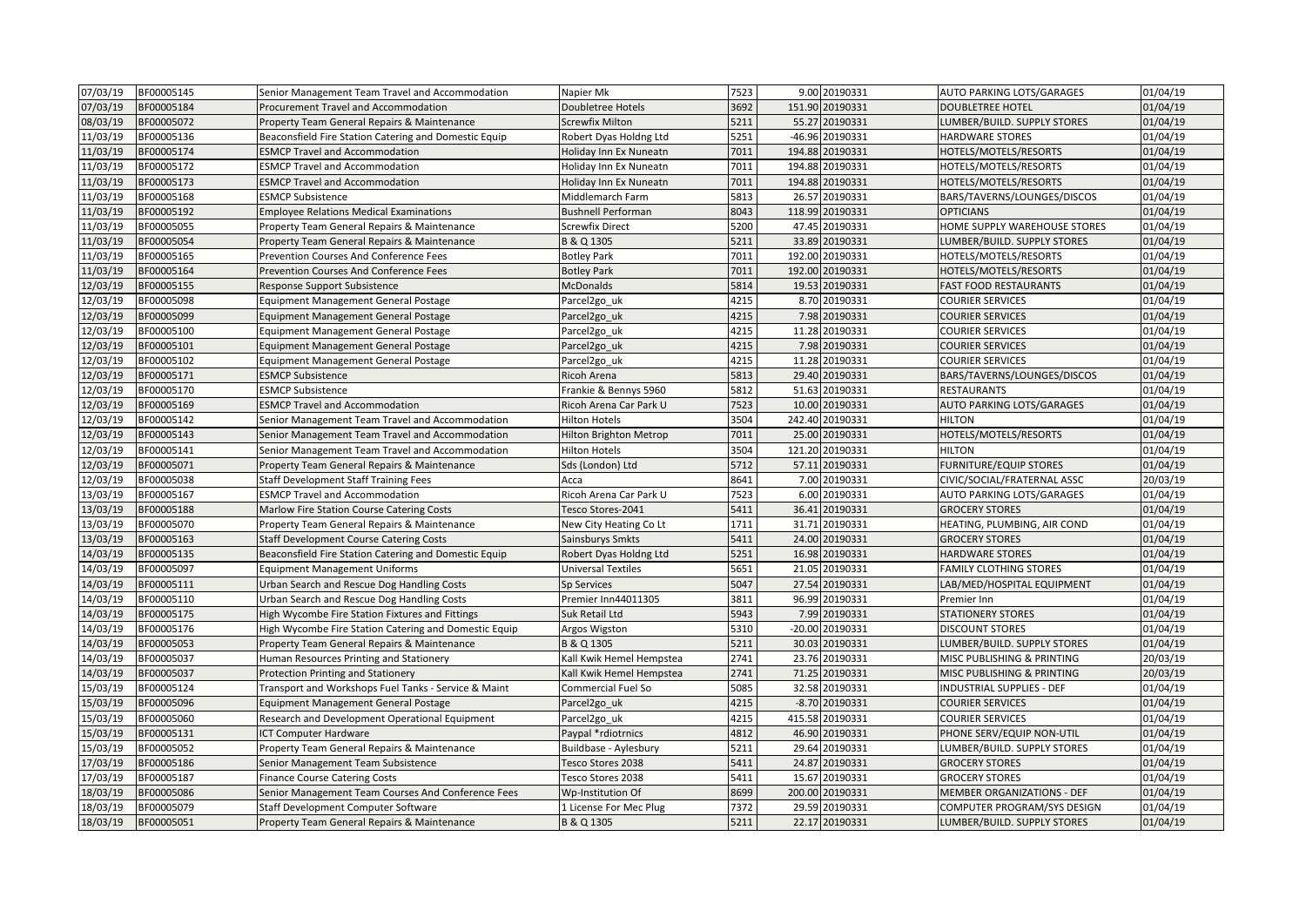| 07/03/19 | BF00005145 | Senior Management Team Travel and Accommodation       | Napier Mk                     | 7523 | 9.00 20190331    | <b>AUTO PARKING LOTS/GARAGES</b> | 01/04/19 |
|----------|------------|-------------------------------------------------------|-------------------------------|------|------------------|----------------------------------|----------|
| 07/03/19 | BF00005184 | Procurement Travel and Accommodation                  | Doubletree Hotels             | 3692 | 151.90 20190331  | DOUBLETREE HOTEL                 | 01/04/19 |
| 08/03/19 | BF00005072 | Property Team General Repairs & Maintenance           | <b>Screwfix Milton</b>        | 5211 | 55.27 20190331   | LUMBER/BUILD. SUPPLY STORES      | 01/04/19 |
| 11/03/19 | BF00005136 | Beaconsfield Fire Station Catering and Domestic Equip | Robert Dyas Holdng Ltd        | 5251 | -46.96 20190331  | <b>HARDWARE STORES</b>           | 01/04/19 |
| 11/03/19 | BF00005174 | <b>ESMCP Travel and Accommodation</b>                 | Holiday Inn Ex Nuneatn        | 7011 | 194.88 20190331  | HOTELS/MOTELS/RESORTS            | 01/04/19 |
| 11/03/19 | BF00005172 | <b>ESMCP Travel and Accommodation</b>                 | Holiday Inn Ex Nuneatn        | 7011 | 194.88 20190331  | HOTELS/MOTELS/RESORTS            | 01/04/19 |
| 11/03/19 | BF00005173 | <b>ESMCP Travel and Accommodation</b>                 | Holiday Inn Ex Nuneatn        | 7011 | 194.88 20190331  | HOTELS/MOTELS/RESORTS            | 01/04/19 |
| 11/03/19 | BF00005168 | <b>ESMCP Subsistence</b>                              | Middlemarch Farm              | 5813 | 26.57 20190331   | BARS/TAVERNS/LOUNGES/DISCOS      | 01/04/19 |
| 11/03/19 | BF00005192 | <b>Employee Relations Medical Examinations</b>        | <b>Bushnell Performan</b>     | 8043 | 118.99 20190331  | <b>OPTICIANS</b>                 | 01/04/19 |
| 11/03/19 | BF00005055 | Property Team General Repairs & Maintenance           | <b>Screwfix Direct</b>        | 5200 | 47.45 20190331   | HOME SUPPLY WAREHOUSE STORES     | 01/04/19 |
| 11/03/19 | BF00005054 | Property Team General Repairs & Maintenance           | B & Q 1305                    | 5211 | 33.89 20190331   | LUMBER/BUILD. SUPPLY STORES      | 01/04/19 |
| 11/03/19 | BF00005165 | Prevention Courses And Conference Fees                | <b>Botley Park</b>            | 7011 | 192.00 20190331  | HOTELS/MOTELS/RESORTS            | 01/04/19 |
| 11/03/19 | BF00005164 | Prevention Courses And Conference Fees                | <b>Botley Park</b>            | 7011 | 192.00 20190331  | HOTELS/MOTELS/RESORTS            | 01/04/19 |
| 12/03/19 | BF00005155 | Response Support Subsistence                          | <b>McDonalds</b>              | 5814 | 19.53 20190331   | <b>FAST FOOD RESTAURANTS</b>     | 01/04/19 |
| 12/03/19 | BF00005098 | Equipment Management General Postage                  | Parcel2go_uk                  | 4215 | 8.70 20190331    | <b>COURIER SERVICES</b>          | 01/04/19 |
| 12/03/19 | BF00005099 | Equipment Management General Postage                  | Parcel2go_uk                  | 4215 | 7.98 20190331    | <b>COURIER SERVICES</b>          | 01/04/19 |
| 12/03/19 | BF00005100 | <b>Equipment Management General Postage</b>           | Parcel <sub>2gouk</sub>       | 4215 | 11.28 20190331   | <b>COURIER SERVICES</b>          | 01/04/19 |
| 12/03/19 | BF00005101 | Equipment Management General Postage                  | Parcel2go_uk                  | 4215 | 7.98 20190331    | <b>COURIER SERVICES</b>          | 01/04/19 |
| 12/03/19 | BF00005102 | <b>Equipment Management General Postage</b>           | Parcel <sub>2gouk</sub>       | 4215 | 11.28 20190331   | <b>COURIER SERVICES</b>          | 01/04/19 |
| 12/03/19 | BF00005171 | <b>ESMCP Subsistence</b>                              | Ricoh Arena                   | 5813 | 29.40 20190331   | BARS/TAVERNS/LOUNGES/DISCOS      | 01/04/19 |
| 12/03/19 | BF00005170 | <b>ESMCP Subsistence</b>                              | Frankie & Bennys 5960         | 5812 | 51.63 20190331   | <b>RESTAURANTS</b>               | 01/04/19 |
| 12/03/19 | BF00005169 | <b>ESMCP Travel and Accommodation</b>                 | Ricoh Arena Car Park U        | 7523 | 10.00 20190331   | <b>AUTO PARKING LOTS/GARAGES</b> | 01/04/19 |
| 12/03/19 | BF00005142 | Senior Management Team Travel and Accommodation       | Hilton Hotels                 | 3504 | 242.40 20190331  | <b>HILTON</b>                    | 01/04/19 |
| 12/03/19 | BF00005143 | Senior Management Team Travel and Accommodation       | <b>Hilton Brighton Metrop</b> | 7011 | 25.00 20190331   | HOTELS/MOTELS/RESORTS            | 01/04/19 |
| 12/03/19 | BF00005141 | Senior Management Team Travel and Accommodation       | Hilton Hotels                 | 3504 | 121.20 20190331  | <b>HILTON</b>                    | 01/04/19 |
| 12/03/19 | BF00005071 | Property Team General Repairs & Maintenance           | Sds (London) Ltd              | 5712 | 57.11 20190331   | <b>FURNITURE/EQUIP STORES</b>    | 01/04/19 |
| 12/03/19 | BF00005038 | <b>Staff Development Staff Training Fees</b>          | Acca                          | 8641 | 7.00 20190331    | CIVIC/SOCIAL/FRATERNAL ASSC      | 20/03/19 |
| 13/03/19 | BF00005167 | <b>ESMCP Travel and Accommodation</b>                 | Ricoh Arena Car Park U        | 7523 | 6.00 20190331    | <b>AUTO PARKING LOTS/GARAGES</b> | 01/04/19 |
| 13/03/19 | BF00005188 | Marlow Fire Station Course Catering Costs             | Tesco Stores-2041             | 5411 | 36.41 20190331   | <b>GROCERY STORES</b>            | 01/04/19 |
| 13/03/19 | BF00005070 | Property Team General Repairs & Maintenance           | New City Heating Co Lt        | 1711 | 31.71 20190331   | HEATING, PLUMBING, AIR COND      | 01/04/19 |
| 13/03/19 | BF00005163 | <b>Staff Development Course Catering Costs</b>        | Sainsburys Smkts              | 5411 | 24.00 20190331   | <b>GROCERY STORES</b>            | 01/04/19 |
| 14/03/19 | BF00005135 | Beaconsfield Fire Station Catering and Domestic Equip | Robert Dyas Holdng Ltd        | 5251 | 16.98 20190331   | <b>HARDWARE STORES</b>           | 01/04/19 |
| 14/03/19 | BF00005097 | <b>Equipment Management Uniforms</b>                  | Universal Textiles            | 5651 | 21.05 20190331   | <b>FAMILY CLOTHING STORES</b>    | 01/04/19 |
| 14/03/19 | BF00005111 | Urban Search and Rescue Dog Handling Costs            | Sp Services                   | 5047 | 27.54 20190331   | LAB/MED/HOSPITAL EQUIPMENT       | 01/04/19 |
| 14/03/19 | BF00005110 | Urban Search and Rescue Dog Handling Costs            | Premier Inn44011305           | 3811 | 96.99 20190331   | Premier Inn                      | 01/04/19 |
| 14/03/19 | BF00005175 | High Wycombe Fire Station Fixtures and Fittings       | Suk Retail Ltd                | 5943 | 7.99 20190331    | <b>STATIONERY STORES</b>         | 01/04/19 |
| 14/03/19 | BF00005176 | High Wycombe Fire Station Catering and Domestic Equip | Argos Wigston                 | 5310 | -20.00 20190331  | <b>DISCOUNT STORES</b>           | 01/04/19 |
| 14/03/19 | BF00005053 | Property Team General Repairs & Maintenance           | B & Q 1305                    | 5211 | 30.03 20190331   | LUMBER/BUILD. SUPPLY STORES      | 01/04/19 |
| 14/03/19 | BF00005037 | Human Resources Printing and Stationery               | Kall Kwik Hemel Hempstea      | 2741 | 23.76 20190331   | MISC PUBLISHING & PRINTING       | 20/03/19 |
| 14/03/19 | BF00005037 | <b>Protection Printing and Stationery</b>             | Kall Kwik Hemel Hempstea      | 2741 | 71.25 20190331   | MISC PUBLISHING & PRINTING       | 20/03/19 |
| 15/03/19 | BF00005124 | Transport and Workshops Fuel Tanks - Service & Maint  | Commercial Fuel So            | 5085 | 32.58 20190331   | <b>INDUSTRIAL SUPPLIES - DEF</b> | 01/04/19 |
| 15/03/19 | BF00005096 | Equipment Management General Postage                  | Parcel2go uk                  | 4215 | $-8.70$ 20190331 | <b>COURIER SERVICES</b>          | 01/04/19 |
| 15/03/19 | BF00005060 | Research and Development Operational Equipment        | Parcel <sub>2go uk</sub>      | 4215 | 415.58 20190331  | <b>COURIER SERVICES</b>          | 01/04/19 |
| 15/03/19 | BF00005131 | <b>ICT Computer Hardware</b>                          | Paypal *rdiotrnics            | 4812 | 46.90 20190331   | PHONE SERV/EQUIP NON-UTIL        | 01/04/19 |
| 15/03/19 | BF00005052 | Property Team General Repairs & Maintenance           | Buildbase - Aylesbury         | 5211 | 29.64 20190331   | LUMBER/BUILD. SUPPLY STORES      | 01/04/19 |
| 17/03/19 | BF00005186 | Senior Management Team Subsistence                    | Tesco Stores 2038             | 5411 | 24.87 20190331   | <b>GROCERY STORES</b>            | 01/04/19 |
| 17/03/19 | BF00005187 | <b>Finance Course Catering Costs</b>                  | Tesco Stores 2038             | 5411 | 15.67 20190331   | <b>GROCERY STORES</b>            | 01/04/19 |
| 18/03/19 | BF00005086 | Senior Management Team Courses And Conference Fees    | Wp-Institution Of             | 8699 | 200.00 20190331  | MEMBER ORGANIZATIONS - DEF       | 01/04/19 |
| 18/03/19 | BF00005079 | Staff Development Computer Software                   | 1 License For Mec Plug        | 7372 | 29.59 20190331   | COMPUTER PROGRAM/SYS DESIGN      | 01/04/19 |
| 18/03/19 | BF00005051 | Property Team General Repairs & Maintenance           | B & Q 1305                    | 5211 | 22.17 20190331   | LUMBER/BUILD. SUPPLY STORES      | 01/04/19 |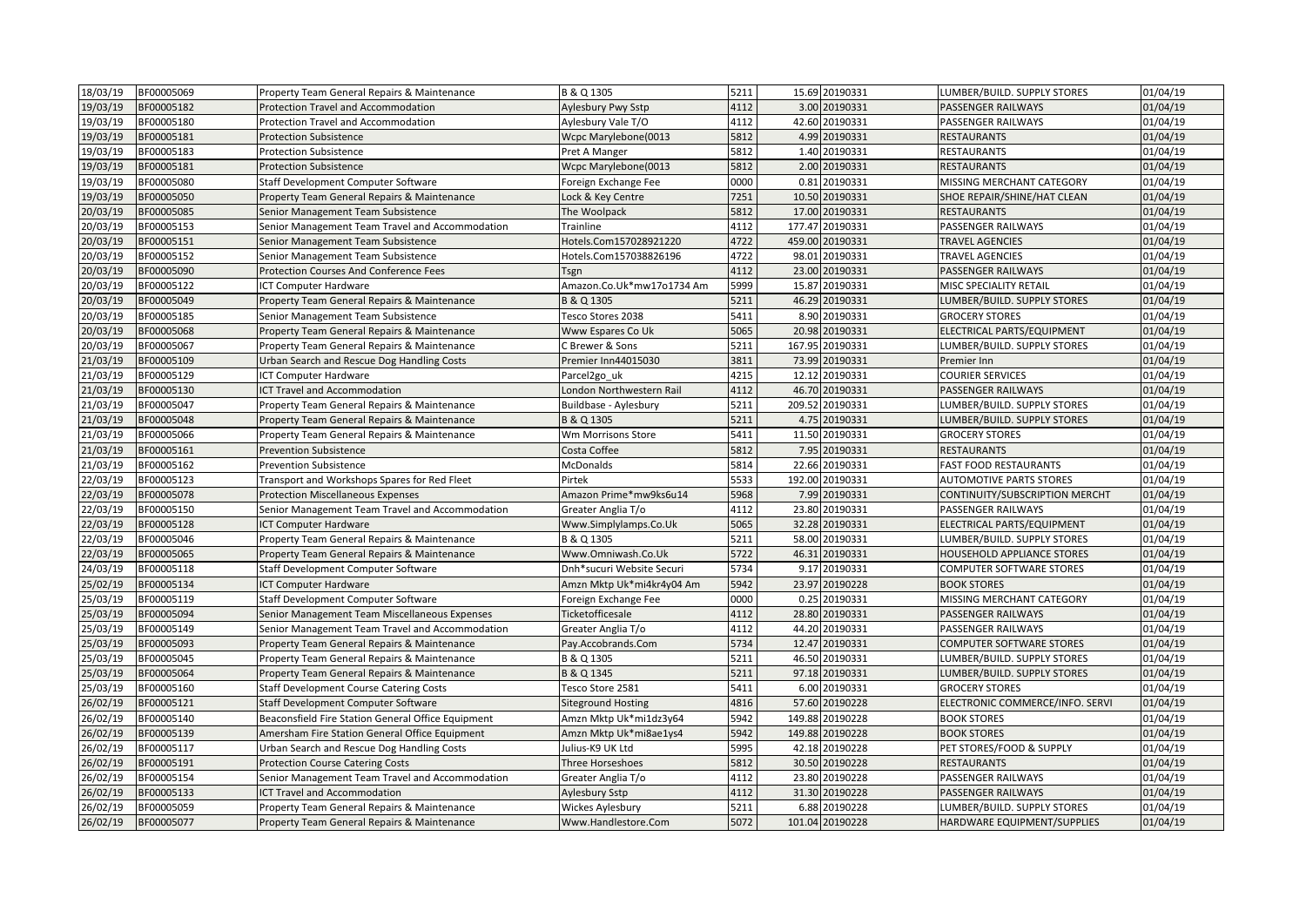| 18/03/19 | BF00005069 | Property Team General Repairs & Maintenance        | B & Q 1305                | 5211 |      | 15.69 20190331  | LUMBER/BUILD. SUPPLY STORES     | 01/04/19 |
|----------|------------|----------------------------------------------------|---------------------------|------|------|-----------------|---------------------------------|----------|
| 19/03/19 | BF00005182 | Protection Travel and Accommodation                | Aylesbury Pwy Sstp        | 4112 |      | 3.00 20190331   | <b>PASSENGER RAILWAYS</b>       | 01/04/19 |
| 19/03/19 | BF00005180 | Protection Travel and Accommodation                | Aylesbury Vale T/O        | 4112 |      | 42.60 20190331  | <b>PASSENGER RAILWAYS</b>       | 01/04/19 |
| 19/03/19 | BF00005181 | <b>Protection Subsistence</b>                      | Wcpc Marylebone(0013      | 5812 |      | 4.99 20190331   | <b>RESTAURANTS</b>              | 01/04/19 |
| 19/03/19 | BF00005183 | <b>Protection Subsistence</b>                      | Pret A Manger             | 5812 |      | 1.40 20190331   | <b>RESTAURANTS</b>              | 01/04/19 |
| 19/03/19 | BF00005181 | <b>Protection Subsistence</b>                      | Wcpc Marylebone(0013      | 5812 |      | 2.00 20190331   | <b>RESTAURANTS</b>              | 01/04/19 |
| 19/03/19 | BF00005080 | Staff Development Computer Software                | Foreign Exchange Fee      | 0000 | 0.81 | 20190331        | MISSING MERCHANT CATEGORY       | 01/04/19 |
| 19/03/19 | BF00005050 | Property Team General Repairs & Maintenance        | Lock & Key Centre         | 7251 |      | 10.50 20190331  | SHOE REPAIR/SHINE/HAT CLEAN     | 01/04/19 |
| 20/03/19 | BF00005085 | Senior Management Team Subsistence                 | The Woolpack              | 5812 |      | 17.00 20190331  | <b>RESTAURANTS</b>              | 01/04/19 |
| 20/03/19 | BF00005153 | Senior Management Team Travel and Accommodation    | Trainline                 | 4112 |      | 177.47 20190331 | PASSENGER RAILWAYS              | 01/04/19 |
| 20/03/19 | BF00005151 | Senior Management Team Subsistence                 | Hotels.Com157028921220    | 4722 |      | 459.00 20190331 | <b>TRAVEL AGENCIES</b>          | 01/04/19 |
| 20/03/19 | BF00005152 | Senior Management Team Subsistence                 | Hotels.Com157038826196    | 4722 |      | 98.01 20190331  | <b>TRAVEL AGENCIES</b>          | 01/04/19 |
| 20/03/19 | BF00005090 | Protection Courses And Conference Fees             | Tsgn                      | 4112 |      | 23.00 20190331  | <b>PASSENGER RAILWAYS</b>       | 01/04/19 |
| 20/03/19 | BF00005122 | <b>ICT Computer Hardware</b>                       | Amazon.Co.Uk*mw17o1734 Am | 5999 |      | 15.87 20190331  | MISC SPECIALITY RETAIL          | 01/04/19 |
| 20/03/19 | BF00005049 | Property Team General Repairs & Maintenance        | B & Q 1305                | 5211 |      | 46.29 20190331  | LUMBER/BUILD. SUPPLY STORES     | 01/04/19 |
| 20/03/19 | BF00005185 | Senior Management Team Subsistence                 | Tesco Stores 2038         | 5411 |      | 8.90 20190331   | <b>GROCERY STORES</b>           | 01/04/19 |
| 20/03/19 | BF00005068 | Property Team General Repairs & Maintenance        | Www Espares Co Uk         | 5065 |      | 20.98 20190331  | ELECTRICAL PARTS/EQUIPMENT      | 01/04/19 |
| 20/03/19 | BF00005067 | Property Team General Repairs & Maintenance        | C Brewer & Sons           | 5211 |      | 167.95 20190331 | LUMBER/BUILD. SUPPLY STORES     | 01/04/19 |
| 21/03/19 | BF00005109 | Urban Search and Rescue Dog Handling Costs         | Premier Inn44015030       | 3811 |      | 73.99 20190331  | Premier Inn                     | 01/04/19 |
| 21/03/19 | BF00005129 | <b>ICT Computer Hardware</b>                       | Parcel <sub>2gouk</sub>   | 4215 |      | 12.12 20190331  | <b>COURIER SERVICES</b>         | 01/04/19 |
| 21/03/19 | BF00005130 | ICT Travel and Accommodation                       | London Northwestern Rail  | 4112 |      | 46.70 20190331  | <b>PASSENGER RAILWAYS</b>       | 01/04/19 |
| 21/03/19 | BF00005047 | Property Team General Repairs & Maintenance        | Buildbase - Aylesbury     | 5211 |      | 209.52 20190331 | LUMBER/BUILD. SUPPLY STORES     | 01/04/19 |
| 21/03/19 | BF00005048 | Property Team General Repairs & Maintenance        | B & Q 1305                | 5211 |      | 4.75 20190331   | LUMBER/BUILD. SUPPLY STORES     | 01/04/19 |
| 21/03/19 | BF00005066 | Property Team General Repairs & Maintenance        | Wm Morrisons Store        | 5411 |      | 11.50 20190331  | <b>GROCERY STORES</b>           | 01/04/19 |
| 21/03/19 | BF00005161 | <b>Prevention Subsistence</b>                      | Costa Coffee              | 5812 |      | 7.95 20190331   | <b>RESTAURANTS</b>              | 01/04/19 |
| 21/03/19 | BF00005162 | <b>Prevention Subsistence</b>                      | McDonalds                 | 5814 |      | 22.66 20190331  | <b>FAST FOOD RESTAURANTS</b>    | 01/04/19 |
| 22/03/19 | BF00005123 | Transport and Workshops Spares for Red Fleet       | Pirtek                    | 5533 |      | 192.00 20190331 | <b>AUTOMOTIVE PARTS STORES</b>  | 01/04/19 |
| 22/03/19 | BF00005078 | <b>Protection Miscellaneous Expenses</b>           | Amazon Prime*mw9ks6u14    | 5968 |      | 7.99 20190331   | CONTINUITY/SUBSCRIPTION MERCHT  | 01/04/19 |
| 22/03/19 | BF00005150 | Senior Management Team Travel and Accommodation    | Greater Anglia T/o        | 4112 |      | 23.80 20190331  | PASSENGER RAILWAYS              | 01/04/19 |
| 22/03/19 | BF00005128 | <b>ICT Computer Hardware</b>                       | Www.Simplylamps.Co.Uk     | 5065 |      | 32.28 20190331  | ELECTRICAL PARTS/EQUIPMENT      | 01/04/19 |
| 22/03/19 | BF00005046 | Property Team General Repairs & Maintenance        | B & Q 1305                | 5211 |      | 58.00 20190331  | LUMBER/BUILD. SUPPLY STORES     | 01/04/19 |
| 22/03/19 | BF00005065 | Property Team General Repairs & Maintenance        | Www.Omniwash.Co.Uk        | 5722 |      | 46.31 20190331  | HOUSEHOLD APPLIANCE STORES      | 01/04/19 |
| 24/03/19 | BF00005118 | Staff Development Computer Software                | Dnh*sucuri Website Securi | 5734 |      | 9.17 20190331   | <b>COMPUTER SOFTWARE STORES</b> | 01/04/19 |
| 25/02/19 | BF00005134 | <b>ICT Computer Hardware</b>                       | Amzn Mktp Uk*mi4kr4y04 Am | 5942 |      | 23.97 20190228  | <b>BOOK STORES</b>              | 01/04/19 |
| 25/03/19 | BF00005119 | Staff Development Computer Software                | Foreign Exchange Fee      | 0000 |      | 0.25 20190331   | MISSING MERCHANT CATEGORY       | 01/04/19 |
| 25/03/19 | BF00005094 | Senior Management Team Miscellaneous Expenses      | Ticketofficesale          | 4112 |      | 28.80 20190331  | <b>PASSENGER RAILWAYS</b>       | 01/04/19 |
| 25/03/19 | BF00005149 | Senior Management Team Travel and Accommodation    | Greater Anglia T/o        | 4112 |      | 44.20 20190331  | <b>PASSENGER RAILWAYS</b>       | 01/04/19 |
| 25/03/19 | BF00005093 | Property Team General Repairs & Maintenance        | Pay.Accobrands.Com        | 5734 |      | 12.47 20190331  | <b>COMPUTER SOFTWARE STORES</b> | 01/04/19 |
| 25/03/19 | BF00005045 | Property Team General Repairs & Maintenance        | B & Q 1305                | 5211 |      | 46.50 20190331  | LUMBER/BUILD. SUPPLY STORES     | 01/04/19 |
| 25/03/19 | BF00005064 | Property Team General Repairs & Maintenance        | B & Q 1345                | 5211 |      | 97.18 20190331  | LUMBER/BUILD. SUPPLY STORES     | 01/04/19 |
| 25/03/19 | BF00005160 | <b>Staff Development Course Catering Costs</b>     | Tesco Store 2581          | 5411 |      | 6.00 20190331   | <b>GROCERY STORES</b>           | 01/04/19 |
| 26/02/19 | BF00005121 | <b>Staff Development Computer Software</b>         | <b>Siteground Hosting</b> | 4816 |      | 57.60 20190228  | ELECTRONIC COMMERCE/INFO. SERVI | 01/04/19 |
| 26/02/19 | BF00005140 | Beaconsfield Fire Station General Office Equipment | Amzn Mktp Uk*mi1dz3y64    | 5942 |      | 149.88 20190228 | <b>BOOK STORES</b>              | 01/04/19 |
| 26/02/19 | BF00005139 | Amersham Fire Station General Office Equipment     | Amzn Mktp Uk*mi8ae1ys4    | 5942 |      | 149.88 20190228 | <b>BOOK STORES</b>              | 01/04/19 |
| 26/02/19 | BF00005117 | Urban Search and Rescue Dog Handling Costs         | Julius-K9 UK Ltd          | 5995 |      | 42.18 20190228  | PET STORES/FOOD & SUPPLY        | 01/04/19 |
| 26/02/19 | BF00005191 | <b>Protection Course Catering Costs</b>            | Three Horseshoes          | 5812 |      | 30.50 20190228  | <b>RESTAURANTS</b>              | 01/04/19 |
| 26/02/19 | BF00005154 | Senior Management Team Travel and Accommodation    | Greater Anglia T/o        | 4112 |      | 23.80 20190228  | PASSENGER RAILWAYS              | 01/04/19 |
| 26/02/19 | BF00005133 | ICT Travel and Accommodation                       | <b>Aylesbury Sstp</b>     | 4112 |      | 31.30 20190228  | <b>PASSENGER RAILWAYS</b>       | 01/04/19 |
| 26/02/19 | BF00005059 | Property Team General Repairs & Maintenance        | <b>Wickes Aylesbury</b>   | 5211 |      | 6.88 20190228   | LUMBER/BUILD. SUPPLY STORES     | 01/04/19 |
| 26/02/19 | BF00005077 | Property Team General Repairs & Maintenance        | Www.Handlestore.Com       | 5072 |      | 101.04 20190228 | HARDWARE EQUIPMENT/SUPPLIES     | 01/04/19 |